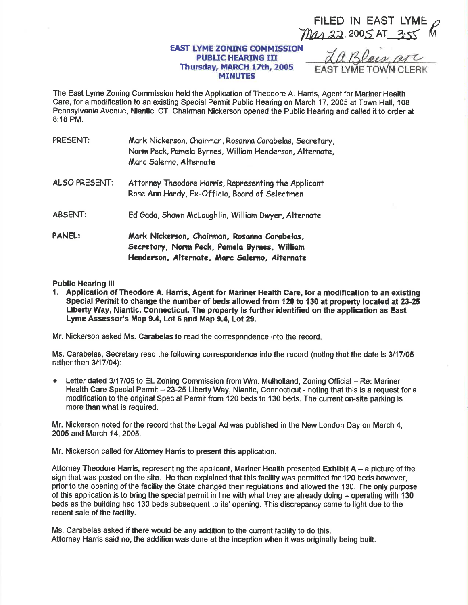FILED IN EAST LYME Mas 22, 2005 AT 3.55

## **EAST LYME ZONING COMMISSION PUBLIC HEARING III** Thursday, MARCH 17th, 2005 **MINUTES**

a Bloes a **FAST I YMF TOWN CLERK** 

The East Lyme Zoning Commission held the Application of Theodore A. Harris, Agent for Mariner Health Care, for a modification to an existing Special Permit Public Hearing on March 17, 2005 at Town Hall, 108 Pennsylvania Avenue, Niantic, CT. Chairman Nickerson opened the Public Hearing and called it to order at 8:18 PM.

| PRESENT:             | Mark Nickerson, Chairman, Rosanna Carabelas, Secretary,<br>Norm Peck, Pamela Byrnes, William Henderson, Alternate,<br>Marc Salerno, Alternate |
|----------------------|-----------------------------------------------------------------------------------------------------------------------------------------------|
| <b>ALSO PRESENT:</b> | Attorney Theodore Harris, Representing the Applicant<br>Rose Ann Hardy, Ex-Officio, Board of Selectmen                                        |
| <b>ABSENT:</b>       | Ed Gada, Shawn McLaughlin, William Dwyer, Alternate                                                                                           |
| <b>PANEL:</b>        | Mark Nickerson, Chairman, Rosanna Carabelas,<br>Secretary, Norm Peck, Pamela Byrnes, William<br>Henderson, Alternate, Marc Salerno, Alternate |

## **Public Hearing III**

1. Application of Theodore A. Harris, Agent for Mariner Health Care, for a modification to an existing Special Permit to change the number of beds allowed from 120 to 130 at property located at 23-25 Liberty Way, Niantic, Connecticut. The property is further identified on the application as East Lyme Assessor's Map 9.4, Lot 6 and Map 9.4, Lot 29.

Mr. Nickerson asked Ms. Carabelas to read the correspondence into the record.

Ms. Carabelas, Secretary read the following correspondence into the record (noting that the date is 3/17/05 rather than 3/17/04):

Letter dated 3/17/05 to EL Zoning Commission from Wm. Mulholland, Zoning Official – Re: Mariner Health Care Special Permit - 23-25 Liberty Way, Niantic, Connecticut - noting that this is a request for a modification to the original Special Permit from 120 beds to 130 beds. The current on-site parking is more than what is required.

Mr. Nickerson noted for the record that the Legal Ad was published in the New London Day on March 4, 2005 and March 14, 2005.

Mr. Nickerson called for Attomey Harris to present this application.

Attorney Theodore Harris, representing the applicant, Mariner Health presented Exhibit A - a picture of the sign that was posted on the site. He then explained that this facility was permitted for 120 beds however. prior to the opening of the facility the State changed their regulations and allowed the 130. The only purpose of this application is to bring the special permit in line with what they are already doing - operating with 130 beds as the building had 130 beds subsequent to its' opening. This discrepancy came to light due to the recent sale of the facility.

Ms. Carabelas asked if there would be any addition to the current facility to do this. Attorney Harris said no, the addition was done at the inception when it was originally being built.